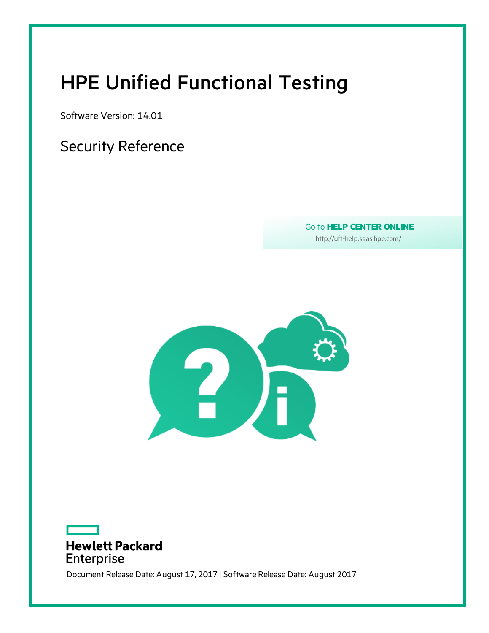# <span id="page-0-0"></span>HPE Unified Functional Testing

Software Version: 14.01

### Security Reference

Go to **HELP CENTER ONLINE**

[http://uft-help.saas.hpe.com/](http://uft-help.saas.hpe.com/en/14.01/UFT_Help/Content/Resources/_TopNav/_TopNav_Home.htm)





Document Release Date: August 17, 2017 | Software Release Date: August 2017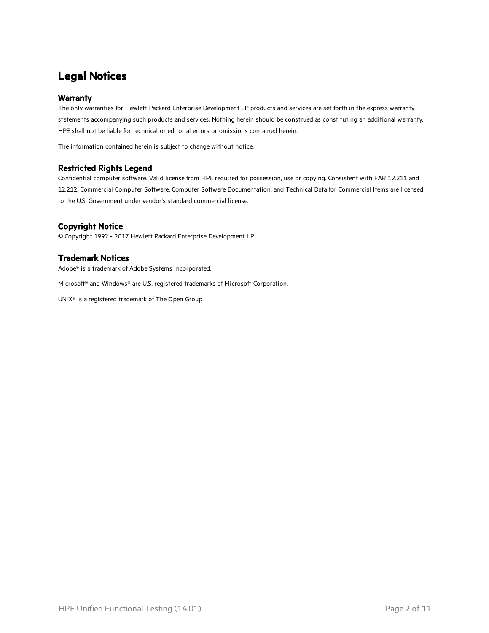### Legal Notices

#### **Warranty**

The only warranties for Hewlett Packard Enterprise Development LP products and services are set forth in the express warranty statements accompanying such products and services. Nothing herein should be construed as constituting an additional warranty. HPE shall not be liable for technical or editorial errors or omissions contained herein.

The information contained herein is subject to change without notice.

#### Restricted Rights Legend

Confidential computer software. Valid license from HPE required for possession, use or copying. Consistent with FAR 12.211 and 12.212, Commercial Computer Software, Computer Software Documentation, and Technical Data for Commercial Items are licensed to the U.S. Government under vendor's standard commercial license.

#### Copyright Notice

© Copyright 1992 - 2017 Hewlett Packard Enterprise Development LP

#### Trademark Notices

Adobe® is a trademark of Adobe Systems Incorporated.

Microsoft® and Windows® are U.S. registered trademarks of Microsoft Corporation.

UNIX® is a registered trademark of The Open Group.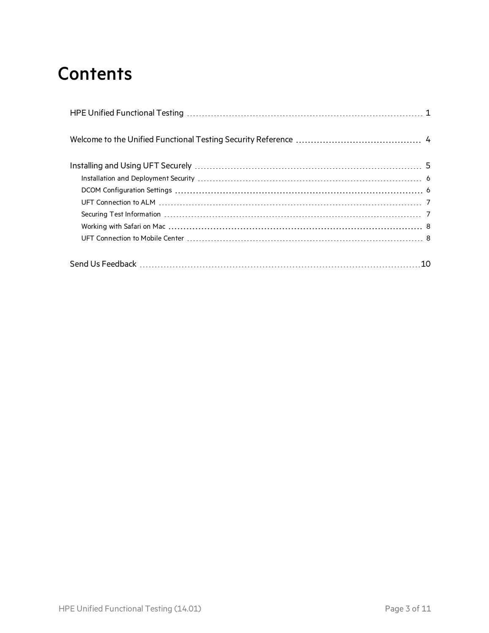# **Contents**

| 10 |
|----|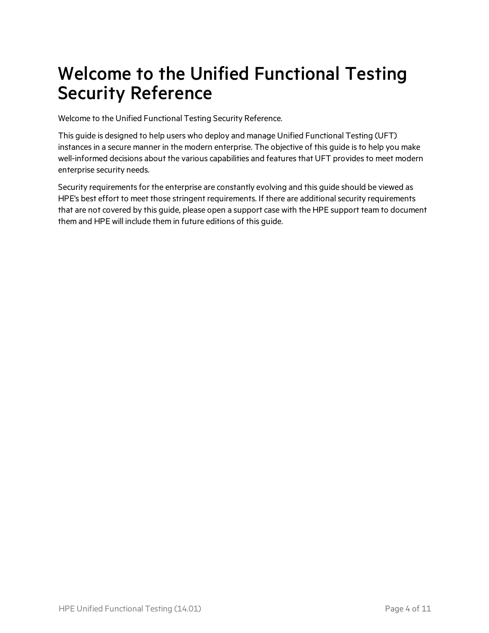# <span id="page-3-0"></span>Welcome to the Unified Functional Testing Security Reference

Welcome to the Unified Functional Testing Security Reference.

This guide is designed to help users who deploy and manage Unified Functional Testing (UFT) instances in a secure manner in the modern enterprise. The objective of this guide is to help you make well-informed decisions about the various capabilities and features that UFT provides to meet modern enterprise security needs.

Security requirements for the enterprise are constantly evolving and this guide should be viewed as HPE's best effort to meet those stringent requirements. If there are additional security requirements that are not covered by this guide, please open a support case with the HPE support team to document them and HPE will include them in future editions of this guide.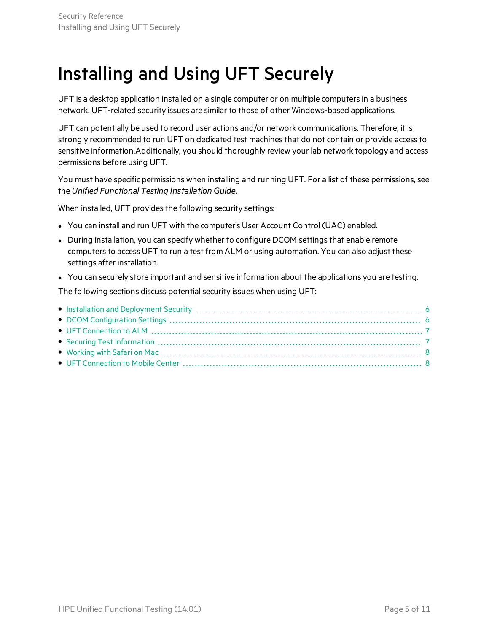# <span id="page-4-0"></span>Installing and Using UFT Securely

UFT is a desktop application installed on a single computer or on multiple computers in a business network. UFT-related security issues are similar to those of other Windows-based applications.

UFT can potentially be used to record user actions and/or network communications. Therefore, it is strongly recommended to run UFT on dedicated test machines that do not contain or provide access to sensitive information.Additionally, you should thoroughly review your lab network topology and access permissions before using UFT.

You must have specific permissions when installing and running UFT. For a list of these permissions, see the *Unified Functional Testing Installation Guide*.

When installed, UFT provides the following security settings:

- You can install and run UFT with the computer's User Account Control (UAC) enabled.
- During installation, you can specify whether to configure DCOM settings that enable remote computers to access UFT to run a test from ALM or using automation. You can also adjust these settings after installation.
- You can securely store important and sensitive information about the applications you are testing.

The following sections discuss potential security issues when using UFT: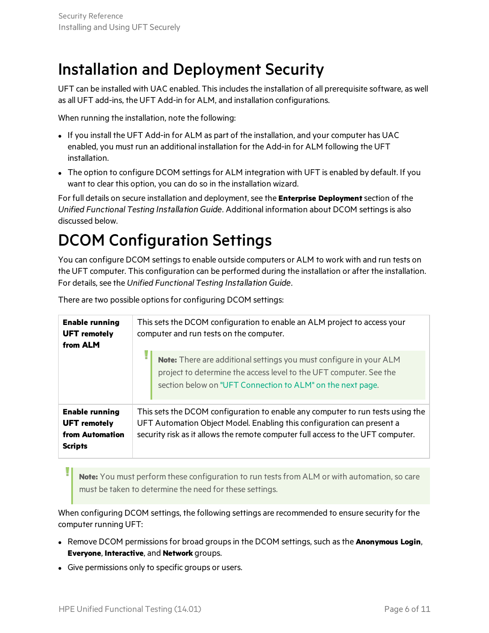## <span id="page-5-0"></span>Installation and Deployment Security

UFT can be installed with UAC enabled. This includes the installation of all prerequisite software, as well as all UFT add-ins, the UFT Add-in for ALM, and installation configurations.

When running the installation, note the following:

- If you install the UFT Add-in for ALM as part of the installation, and your computer has UAC enabled, you must run an additional installation for the Add-in for ALM following the UFT installation.
- The option to configure DCOM settings for ALM integration with UFT is enabled by default. If you want to clear this option, you can do so in the installation wizard.

For full details on secure installation and deployment, see the **Enterprise Deployment**section of the *Unified Functional Testing Installation Guide*. Additional information about DCOM settingsis also discussed below.

## <span id="page-5-1"></span>DCOM Configuration Settings

You can configure DCOM settings to enable outside computers or ALM to work with and run tests on the UFT computer. This configuration can be performed during the installation or after the installation. For details, see the *Unified Functional Testing Installation Guide*.

| <b>Enable running</b><br><b>UFT</b> remotely<br>from ALM                          | This sets the DCOM configuration to enable an ALM project to access your<br>computer and run tests on the computer.                                                                                                                         |
|-----------------------------------------------------------------------------------|---------------------------------------------------------------------------------------------------------------------------------------------------------------------------------------------------------------------------------------------|
|                                                                                   | Note: There are additional settings you must configure in your ALM<br>project to determine the access level to the UFT computer. See the<br>section below on "UFT Connection to ALM" on the next page.                                      |
| <b>Enable running</b><br><b>UFT</b> remotely<br>from Automation<br><b>Scripts</b> | This sets the DCOM configuration to enable any computer to run tests using the<br>UFT Automation Object Model. Enabling this configuration can present a<br>security risk as it allows the remote computer full access to the UFT computer. |

There are two possible options for configuring DCOM settings:

**Note:** You must perform these configuration to run testsfrom ALM or with automation, so care must be taken to determine the need for these settings.

When configuring DCOM settings, the following settings are recommended to ensure security for the computer running UFT:

- <sup>l</sup> Remove DCOM permissionsfor broad groupsin the DCOM settings, such asthe **Anonymous Login**, **Everyone**, **Interactive**, and **Network** groups.
- Give permissions only to specific groups or users.

I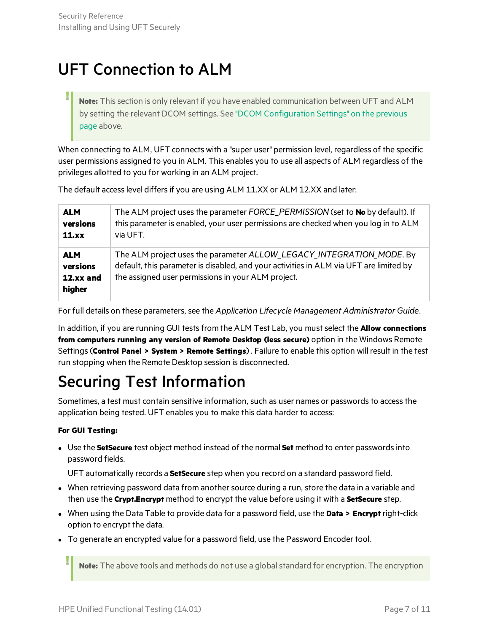## <span id="page-6-0"></span>UFT Connection to ALM

Note: This section is only relevant if you have enabled communication between UFT and ALM by setting the relevant DCOM settings. See "DCOM [Configuration](#page-5-1) Settings" on the previous [page](#page-5-1) above.

When connecting to ALM, UFT connects with a "super user" permission level, regardless of the specific user permissions assigned to you in ALM. This enables you to use all aspects of ALM regardless of the privileges allotted to you for working in an ALM project.

The default access level differs if you are using ALM 11.XX or ALM 12.XX and later:

| <b>ALM</b>                                    | The ALM project uses the parameter FORCE_PERMISSION (set to No by default). If                                                                                                                                       |
|-----------------------------------------------|----------------------------------------------------------------------------------------------------------------------------------------------------------------------------------------------------------------------|
| versions                                      | this parameter is enabled, your user permissions are checked when you log in to ALM                                                                                                                                  |
| 11.xx                                         | via UFT.                                                                                                                                                                                                             |
| <b>ALM</b><br>versions<br>12.xx and<br>higher | The ALM project uses the parameter ALLOW_LEGACY_INTEGRATION_MODE. By<br>default, this parameter is disabled, and your activities in ALM via UFT are limited by<br>the assigned user permissions in your ALM project. |

For full details on these parameters, see the *Application Lifecycle Management Administrator Guide*.

In addition, if you are running GUI testsfrom the ALM Test Lab, you mustselect the **Allow connections from computers running any version of Remote Desktop (less secure)** option in the Windows Remote Settings(**Control Panel > System > Remote Settings**) . Failure to enable this option will result in the test run stopping when the Remote Desktop session is disconnected.

## <span id="page-6-1"></span>Securing Test Information

Sometimes, a test must contain sensitive information, such as user names or passwords to access the application being tested. UFT enables you to make this data harder to access:

#### **For GUI Testing:**

**.** Use the **SetSecure** test object method instead of the normal **Set** method to enter passwords into password fields.

UFT automatically records a **SetSecure** step when you record on a standard password field.

- When retrieving password data from another source during a run, store the data in a variable and then use the **Crypt.Encrypt** method to encrypt the value before using it with a **SetSecure** step.
- <sup>l</sup> When using the Data Table to provide data for a password field, use the **Data > Encrypt** right-click option to encrypt the data.
- To generate an encrypted value for a password field, use the Password Encoder tool.

**Note:** The above tools and methods do not use a globalstandard for encryption. The encryption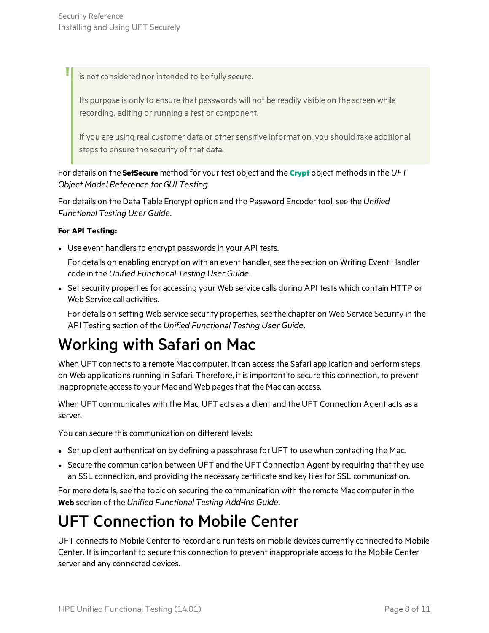is not considered nor intended to be fully secure.

Its purpose is only to ensure that passwords will not be readily visible on the screen while recording, editing or running a test or component.

If you are using real customer data or other sensitive information, you should take additional steps to ensure the security of that data.

For details on the **SetSecure** method for your test object and the **[Crypt](http://uft-help.saas.hpe.com/en/14.01/UFT_Help/Subsystems/FunctionReference/Subsystems/OMRHelp/OMRHelp.htm#OV_Supp_Util/Utility_Crypt.htm)** object methodsin the *UFT Object Model Reference for GUI Testing*.

For details on the Data Table Encrypt option and the Password Encoder tool, see the *Unified Functional Testing User Guide*.

#### **For API Testing:**

• Use event handlers to encrypt passwords in your API tests.

For details on enabling encryption with an event handler, see the section on Writing Event Handler code in the *Unified Functional Testing User Guide*.

• Set security properties for accessing your Web service calls during API tests which contain HTTP or Web Service call activities.

For details on setting Web service security properties, see the chapter on Web Service Security in the API Testing section of the *Unified Functional Testing User Guide*.

## <span id="page-7-0"></span>Working with Safari on Mac

When UFT connects to a remote Mac computer, it can access the Safari application and perform steps on Web applications running in Safari. Therefore, it is important to secure this connection, to prevent inappropriate access to your Mac and Web pages that the Mac can access.

When UFT communicates with the Mac, UFT acts as a client and the UFT Connection Agent acts as a server.

You can secure this communication on different levels:

- Set up client authentication by defining a passphrase for UFT to use when contacting the Mac.
- Secure the communication between UFT and the UFT Connection Agent by requiring that they use an SSL connection, and providing the necessary certificate and key files for SSL communication.

For more details, see the topic on securing the communication with the remote Mac computer in the **Web** section of the *Unified Functional Testing Add-ins Guide*.

## <span id="page-7-1"></span>UFT Connection to Mobile Center

UFT connects to Mobile Center to record and run tests on mobile devices currently connected to Mobile Center. It isimportant to secure this connection to prevent inappropriate accessto the Mobile Center server and any connected devices.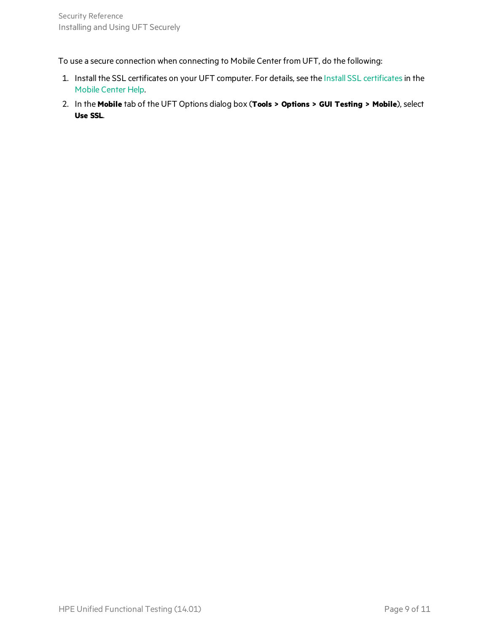To use a secure connection when connecting to Mobile Center from UFT, do the following:

- 1. Install the SSL certificates on your UFT computer. For details, see the Install SSL [certificates](http://mobilecenter.hpe.com/docs/en/2.20/Default.htm#cshid=UFT_SSL)in the Mobile [Center](http://mobilecenter.hpe.com/docs/en/2.20/) Help.
- 2. In the **Mobile** tab of the UFT Options dialog box (**Tools > Options > GUI Testing > Mobile**), select **Use SSL**.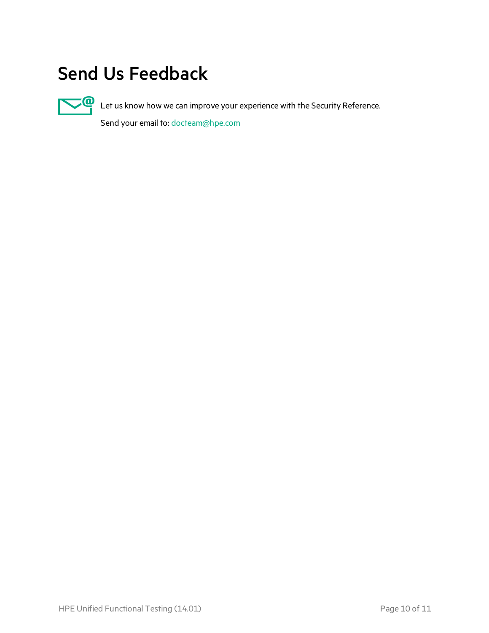# <span id="page-9-0"></span>Send Us Feedback



Let us know how we can improve your experience with the Security Reference.

Send your email to: [docteam@hpe.com](mailto:docteam@hpe.com?subject=Feedback on Security Reference (Unified Functional Testing 14.01))